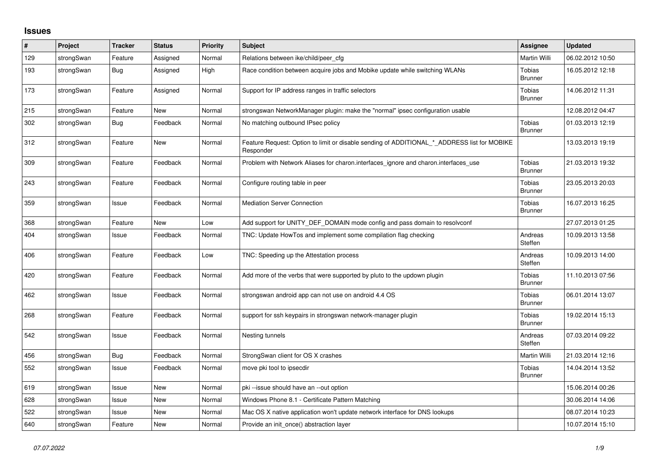## **Issues**

| $\#$ | Project    | <b>Tracker</b> | <b>Status</b> | <b>Priority</b> | <b>Subject</b>                                                                                           | Assignee                 | <b>Updated</b>   |
|------|------------|----------------|---------------|-----------------|----------------------------------------------------------------------------------------------------------|--------------------------|------------------|
| 129  | strongSwan | Feature        | Assigned      | Normal          | Relations between ike/child/peer cfg                                                                     | Martin Willi             | 06.02.2012 10:50 |
| 193  | strongSwan | Bug            | Assigned      | High            | Race condition between acquire jobs and Mobike update while switching WLANs                              | Tobias<br><b>Brunner</b> | 16.05.2012 12:18 |
| 173  | strongSwan | Feature        | Assigned      | Normal          | Support for IP address ranges in traffic selectors                                                       | Tobias<br><b>Brunner</b> | 14.06.2012 11:31 |
| 215  | strongSwan | Feature        | <b>New</b>    | Normal          | strongswan NetworkManager plugin: make the "normal" ipsec configuration usable                           |                          | 12.08.2012 04:47 |
| 302  | strongSwan | Bug            | Feedback      | Normal          | No matching outbound IPsec policy                                                                        | Tobias<br><b>Brunner</b> | 01.03.2013 12:19 |
| 312  | strongSwan | Feature        | <b>New</b>    | Normal          | Feature Request: Option to limit or disable sending of ADDITIONAL_*_ADDRESS list for MOBIKE<br>Responder |                          | 13.03.2013 19:19 |
| 309  | strongSwan | Feature        | Feedback      | Normal          | Problem with Network Aliases for charon.interfaces_ignore and charon.interfaces_use                      | Tobias<br><b>Brunner</b> | 21.03.2013 19:32 |
| 243  | strongSwan | Feature        | Feedback      | Normal          | Configure routing table in peer                                                                          | Tobias<br><b>Brunner</b> | 23.05.2013 20:03 |
| 359  | strongSwan | Issue          | Feedback      | Normal          | <b>Mediation Server Connection</b>                                                                       | Tobias<br><b>Brunner</b> | 16.07.2013 16:25 |
| 368  | strongSwan | Feature        | <b>New</b>    | Low             | Add support for UNITY_DEF_DOMAIN mode config and pass domain to resolvconf                               |                          | 27.07.2013 01:25 |
| 404  | strongSwan | Issue          | Feedback      | Normal          | TNC: Update HowTos and implement some compilation flag checking                                          | Andreas<br>Steffen       | 10.09.2013 13:58 |
| 406  | strongSwan | Feature        | Feedback      | Low             | TNC: Speeding up the Attestation process                                                                 | Andreas<br>Steffen       | 10.09.2013 14:00 |
| 420  | strongSwan | Feature        | Feedback      | Normal          | Add more of the verbs that were supported by pluto to the updown plugin                                  | Tobias<br><b>Brunner</b> | 11.10.2013 07:56 |
| 462  | strongSwan | Issue          | Feedback      | Normal          | strongswan android app can not use on android 4.4 OS                                                     | Tobias<br><b>Brunner</b> | 06.01.2014 13:07 |
| 268  | strongSwan | Feature        | Feedback      | Normal          | support for ssh keypairs in strongswan network-manager plugin                                            | Tobias<br><b>Brunner</b> | 19.02.2014 15:13 |
| 542  | strongSwan | Issue          | Feedback      | Normal          | Nesting tunnels                                                                                          | Andreas<br>Steffen       | 07.03.2014 09:22 |
| 456  | strongSwan | <b>Bug</b>     | Feedback      | Normal          | StrongSwan client for OS X crashes                                                                       | Martin Willi             | 21.03.2014 12:16 |
| 552  | strongSwan | Issue          | Feedback      | Normal          | move pki tool to ipsecdir                                                                                | Tobias<br><b>Brunner</b> | 14.04.2014 13:52 |
| 619  | strongSwan | Issue          | <b>New</b>    | Normal          | pki-issue should have an --out option                                                                    |                          | 15.06.2014 00:26 |
| 628  | strongSwan | Issue          | <b>New</b>    | Normal          | Windows Phone 8.1 - Certificate Pattern Matching                                                         |                          | 30.06.2014 14:06 |
| 522  | strongSwan | Issue          | New           | Normal          | Mac OS X native application won't update network interface for DNS lookups                               |                          | 08.07.2014 10:23 |
| 640  | strongSwan | Feature        | <b>New</b>    | Normal          | Provide an init_once() abstraction layer                                                                 |                          | 10.07.2014 15:10 |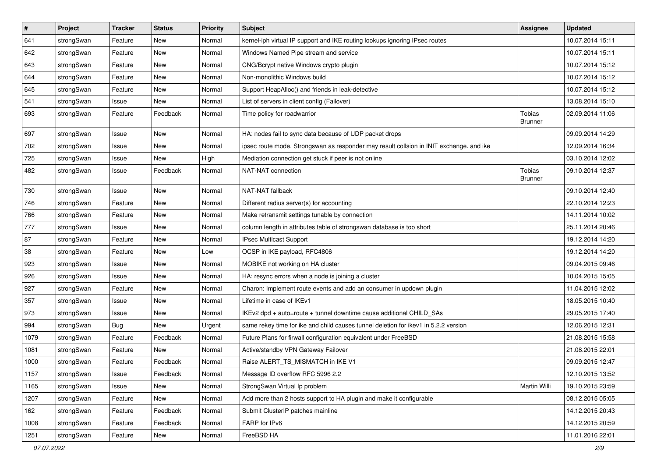| $\vert$ # | Project    | <b>Tracker</b> | <b>Status</b> | Priority | <b>Subject</b>                                                                          | <b>Assignee</b>                 | <b>Updated</b>   |
|-----------|------------|----------------|---------------|----------|-----------------------------------------------------------------------------------------|---------------------------------|------------------|
| 641       | strongSwan | Feature        | New           | Normal   | kernel-iph virtual IP support and IKE routing lookups ignoring IPsec routes             |                                 | 10.07.2014 15:11 |
| 642       | strongSwan | Feature        | New           | Normal   | Windows Named Pipe stream and service                                                   |                                 | 10.07.2014 15:11 |
| 643       | strongSwan | Feature        | New           | Normal   | CNG/Bcrypt native Windows crypto plugin                                                 |                                 | 10.07.2014 15:12 |
| 644       | strongSwan | Feature        | New           | Normal   | Non-monolithic Windows build                                                            |                                 | 10.07.2014 15:12 |
| 645       | strongSwan | Feature        | New           | Normal   | Support HeapAlloc() and friends in leak-detective                                       |                                 | 10.07.2014 15:12 |
| 541       | strongSwan | Issue          | New           | Normal   | List of servers in client config (Failover)                                             |                                 | 13.08.2014 15:10 |
| 693       | strongSwan | Feature        | Feedback      | Normal   | Time policy for roadwarrior                                                             | <b>Tobias</b><br><b>Brunner</b> | 02.09.2014 11:06 |
| 697       | strongSwan | Issue          | <b>New</b>    | Normal   | HA: nodes fail to sync data because of UDP packet drops                                 |                                 | 09.09.2014 14:29 |
| 702       | strongSwan | Issue          | <b>New</b>    | Normal   | ipsec route mode, Strongswan as responder may result collsion in INIT exchange. and ike |                                 | 12.09.2014 16:34 |
| 725       | strongSwan | Issue          | New           | High     | Mediation connection get stuck if peer is not online                                    |                                 | 03.10.2014 12:02 |
| 482       | strongSwan | Issue          | Feedback      | Normal   | NAT-NAT connection                                                                      | Tobias<br><b>Brunner</b>        | 09.10.2014 12:37 |
| 730       | strongSwan | Issue          | <b>New</b>    | Normal   | NAT-NAT fallback                                                                        |                                 | 09.10.2014 12:40 |
| 746       | strongSwan | Feature        | New           | Normal   | Different radius server(s) for accounting                                               |                                 | 22.10.2014 12:23 |
| 766       | strongSwan | Feature        | New           | Normal   | Make retransmit settings tunable by connection                                          |                                 | 14.11.2014 10:02 |
| 777       | strongSwan | Issue          | <b>New</b>    | Normal   | column length in attributes table of strongswan database is too short                   |                                 | 25.11.2014 20:46 |
| 87        | strongSwan | Feature        | <b>New</b>    | Normal   | IPsec Multicast Support                                                                 |                                 | 19.12.2014 14:20 |
| 38        | strongSwan | Feature        | New           | Low      | OCSP in IKE payload, RFC4806                                                            |                                 | 19.12.2014 14:20 |
| 923       | strongSwan | Issue          | New           | Normal   | MOBIKE not working on HA cluster                                                        |                                 | 09.04.2015 09:46 |
| 926       | strongSwan | Issue          | <b>New</b>    | Normal   | HA: resync errors when a node is joining a cluster                                      |                                 | 10.04.2015 15:05 |
| 927       | strongSwan | Feature        | New           | Normal   | Charon: Implement route events and add an consumer in updown plugin                     |                                 | 11.04.2015 12:02 |
| 357       | strongSwan | Issue          | New           | Normal   | Lifetime in case of IKEv1                                                               |                                 | 18.05.2015 10:40 |
| 973       | strongSwan | Issue          | New           | Normal   | IKEv2 dpd + auto=route + tunnel downtime cause additional CHILD_SAs                     |                                 | 29.05.2015 17:40 |
| 994       | strongSwan | <b>Bug</b>     | New           | Urgent   | same rekey time for ike and child causes tunnel deletion for ikev1 in 5.2.2 version     |                                 | 12.06.2015 12:31 |
| 1079      | strongSwan | Feature        | Feedback      | Normal   | Future Plans for firwall configuration equivalent under FreeBSD                         |                                 | 21.08.2015 15:58 |
| 1081      | strongSwan | Feature        | New           | Normal   | Active/standby VPN Gateway Failover                                                     |                                 | 21.08.2015 22:01 |
| 1000      | strongSwan | Feature        | Feedback      | Normal   | Raise ALERT_TS_MISMATCH in IKE V1                                                       |                                 | 09.09.2015 12:47 |
| 1157      | strongSwan | Issue          | Feedback      | Normal   | Message ID overflow RFC 5996 2.2                                                        |                                 | 12.10.2015 13:52 |
| 1165      | strongSwan | Issue          | New           | Normal   | StrongSwan Virtual Ip problem                                                           | Martin Willi                    | 19.10.2015 23:59 |
| 1207      | strongSwan | Feature        | New           | Normal   | Add more than 2 hosts support to HA plugin and make it configurable                     |                                 | 08.12.2015 05:05 |
| 162       | strongSwan | Feature        | Feedback      | Normal   | Submit ClusterIP patches mainline                                                       |                                 | 14.12.2015 20:43 |
| 1008      | strongSwan | Feature        | Feedback      | Normal   | FARP for IPv6                                                                           |                                 | 14.12.2015 20:59 |
| 1251      | strongSwan | Feature        | New           | Normal   | FreeBSD HA                                                                              |                                 | 11.01.2016 22:01 |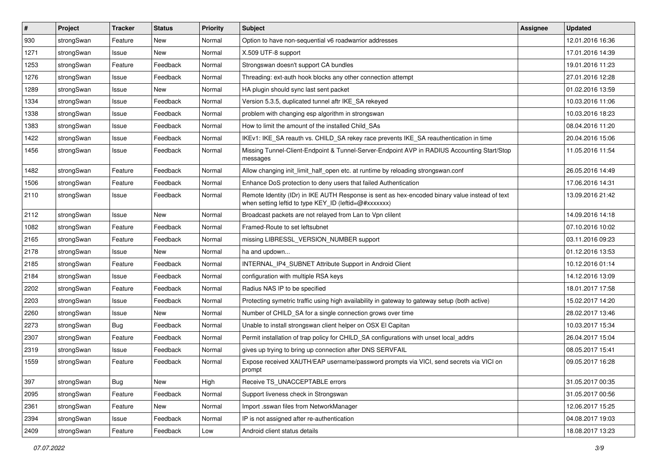| #    | Project    | <b>Tracker</b> | <b>Status</b> | <b>Priority</b> | <b>Subject</b>                                                                                                                                          | <b>Assignee</b> | <b>Updated</b>   |
|------|------------|----------------|---------------|-----------------|---------------------------------------------------------------------------------------------------------------------------------------------------------|-----------------|------------------|
| 930  | strongSwan | Feature        | New           | Normal          | Option to have non-sequential v6 roadwarrior addresses                                                                                                  |                 | 12.01.2016 16:36 |
| 1271 | strongSwan | Issue          | <b>New</b>    | Normal          | X.509 UTF-8 support                                                                                                                                     |                 | 17.01.2016 14:39 |
| 1253 | strongSwan | Feature        | Feedback      | Normal          | Strongswan doesn't support CA bundles                                                                                                                   |                 | 19.01.2016 11:23 |
| 1276 | strongSwan | Issue          | Feedback      | Normal          | Threading: ext-auth hook blocks any other connection attempt                                                                                            |                 | 27.01.2016 12:28 |
| 1289 | strongSwan | Issue          | <b>New</b>    | Normal          | HA plugin should sync last sent packet                                                                                                                  |                 | 01.02.2016 13:59 |
| 1334 | strongSwan | Issue          | Feedback      | Normal          | Version 5.3.5, duplicated tunnel aftr IKE SA rekeyed                                                                                                    |                 | 10.03.2016 11:06 |
| 1338 | strongSwan | Issue          | Feedback      | Normal          | problem with changing esp algorithm in strongswan                                                                                                       |                 | 10.03.2016 18:23 |
| 1383 | strongSwan | Issue          | Feedback      | Normal          | How to limit the amount of the installed Child_SAs                                                                                                      |                 | 08.04.2016 11:20 |
| 1422 | strongSwan | Issue          | Feedback      | Normal          | IKEv1: IKE_SA reauth vs. CHILD_SA rekey race prevents IKE_SA reauthentication in time                                                                   |                 | 20.04.2016 15:06 |
| 1456 | strongSwan | Issue          | Feedback      | Normal          | Missing Tunnel-Client-Endpoint & Tunnel-Server-Endpoint AVP in RADIUS Accounting Start/Stop<br>messages                                                 |                 | 11.05.2016 11:54 |
| 1482 | strongSwan | Feature        | Feedback      | Normal          | Allow changing init limit half open etc. at runtime by reloading strongswan.conf                                                                        |                 | 26.05.2016 14:49 |
| 1506 | strongSwan | Feature        | Feedback      | Normal          | Enhance DoS protection to deny users that failed Authentication                                                                                         |                 | 17.06.2016 14:31 |
| 2110 | strongSwan | Issue          | Feedback      | Normal          | Remote Identity (IDr) in IKE AUTH Response is sent as hex-encoded binary value instead of text<br>when setting leftid to type KEY_ID (leftid=@#xxxxxxx) |                 | 13.09.2016 21:42 |
| 2112 | strongSwan | Issue          | <b>New</b>    | Normal          | Broadcast packets are not relayed from Lan to Vpn clilent                                                                                               |                 | 14.09.2016 14:18 |
| 1082 | strongSwan | Feature        | Feedback      | Normal          | Framed-Route to set leftsubnet                                                                                                                          |                 | 07.10.2016 10:02 |
| 2165 | strongSwan | Feature        | Feedback      | Normal          | missing LIBRESSL_VERSION_NUMBER support                                                                                                                 |                 | 03.11.2016 09:23 |
| 2178 | strongSwan | Issue          | New           | Normal          | ha and updown                                                                                                                                           |                 | 01.12.2016 13:53 |
| 2185 | strongSwan | Feature        | Feedback      | Normal          | INTERNAL_IP4_SUBNET Attribute Support in Android Client                                                                                                 |                 | 10.12.2016 01:14 |
| 2184 | strongSwan | Issue          | Feedback      | Normal          | configuration with multiple RSA keys                                                                                                                    |                 | 14.12.2016 13:09 |
| 2202 | strongSwan | Feature        | Feedback      | Normal          | Radius NAS IP to be specified                                                                                                                           |                 | 18.01.2017 17:58 |
| 2203 | strongSwan | Issue          | Feedback      | Normal          | Protecting symetric traffic using high availability in gateway to gateway setup (both active)                                                           |                 | 15.02.2017 14:20 |
| 2260 | strongSwan | Issue          | New           | Normal          | Number of CHILD_SA for a single connection grows over time                                                                                              |                 | 28.02.2017 13:46 |
| 2273 | strongSwan | Bug            | Feedback      | Normal          | Unable to install strongswan client helper on OSX El Capitan                                                                                            |                 | 10.03.2017 15:34 |
| 2307 | strongSwan | Feature        | Feedback      | Normal          | Permit installation of trap policy for CHILD_SA configurations with unset local_addrs                                                                   |                 | 26.04.2017 15:04 |
| 2319 | strongSwan | Issue          | Feedback      | Normal          | gives up trying to bring up connection after DNS SERVFAIL                                                                                               |                 | 08.05.2017 15:41 |
| 1559 | strongSwan | Feature        | Feedback      | Normal          | Expose received XAUTH/EAP username/password prompts via VICI, send secrets via VICI on<br>prompt                                                        |                 | 09.05.2017 16:28 |
| 397  | strongSwan | Bug            | New           | High            | Receive TS_UNACCEPTABLE errors                                                                                                                          |                 | 31.05.2017 00:35 |
| 2095 | strongSwan | Feature        | Feedback      | Normal          | Support liveness check in Strongswan                                                                                                                    |                 | 31.05.2017 00:56 |
| 2361 | strongSwan | Feature        | New           | Normal          | Import .sswan files from NetworkManager                                                                                                                 |                 | 12.06.2017 15:25 |
| 2394 | strongSwan | Issue          | Feedback      | Normal          | IP is not assigned after re-authentication                                                                                                              |                 | 04.08.2017 19:03 |
| 2409 | strongSwan | Feature        | Feedback      | Low             | Android client status details                                                                                                                           |                 | 18.08.2017 13:23 |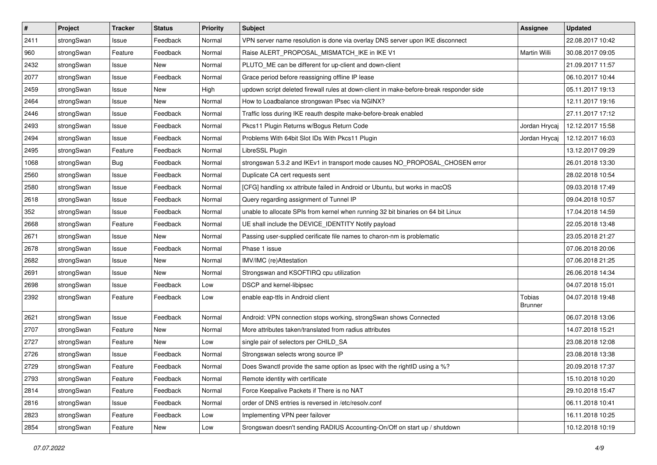| $\sharp$ | Project    | <b>Tracker</b> | <b>Status</b> | <b>Priority</b> | <b>Subject</b>                                                                          | Assignee                 | <b>Updated</b>   |
|----------|------------|----------------|---------------|-----------------|-----------------------------------------------------------------------------------------|--------------------------|------------------|
| 2411     | strongSwan | Issue          | Feedback      | Normal          | VPN server name resolution is done via overlay DNS server upon IKE disconnect           |                          | 22.08.2017 10:42 |
| 960      | strongSwan | Feature        | Feedback      | Normal          | Raise ALERT_PROPOSAL_MISMATCH_IKE in IKE V1                                             | Martin Willi             | 30.08.2017 09:05 |
| 2432     | strongSwan | Issue          | New           | Normal          | PLUTO ME can be different for up-client and down-client                                 |                          | 21.09.2017 11:57 |
| 2077     | strongSwan | Issue          | Feedback      | Normal          | Grace period before reassigning offline IP lease                                        |                          | 06.10.2017 10:44 |
| 2459     | strongSwan | Issue          | <b>New</b>    | High            | updown script deleted firewall rules at down-client in make-before-break responder side |                          | 05.11.2017 19:13 |
| 2464     | strongSwan | Issue          | New           | Normal          | How to Loadbalance strongswan IPsec via NGINX?                                          |                          | 12.11.2017 19:16 |
| 2446     | strongSwan | Issue          | Feedback      | Normal          | Traffic loss during IKE reauth despite make-before-break enabled                        |                          | 27.11.2017 17:12 |
| 2493     | strongSwan | Issue          | Feedback      | Normal          | Pkcs11 Plugin Returns w/Bogus Return Code                                               | Jordan Hrycaj            | 12.12.2017 15:58 |
| 2494     | strongSwan | Issue          | Feedback      | Normal          | Problems With 64bit Slot IDs With Pkcs11 Plugin                                         | Jordan Hrycaj            | 12.12.2017 16:03 |
| 2495     | strongSwan | Feature        | Feedback      | Normal          | LibreSSL Plugin                                                                         |                          | 13.12.2017 09:29 |
| 1068     | strongSwan | <b>Bug</b>     | Feedback      | Normal          | strongswan 5.3.2 and IKEv1 in transport mode causes NO_PROPOSAL_CHOSEN error            |                          | 26.01.2018 13:30 |
| 2560     | strongSwan | Issue          | Feedback      | Normal          | Duplicate CA cert requests sent                                                         |                          | 28.02.2018 10:54 |
| 2580     | strongSwan | Issue          | Feedback      | Normal          | [CFG] handling xx attribute failed in Android or Ubuntu, but works in macOS             |                          | 09.03.2018 17:49 |
| 2618     | strongSwan | Issue          | Feedback      | Normal          | Query regarding assignment of Tunnel IP                                                 |                          | 09.04.2018 10:57 |
| 352      | strongSwan | Issue          | Feedback      | Normal          | unable to allocate SPIs from kernel when running 32 bit binaries on 64 bit Linux        |                          | 17.04.2018 14:59 |
| 2668     | strongSwan | Feature        | Feedback      | Normal          | UE shall include the DEVICE_IDENTITY Notify payload                                     |                          | 22.05.2018 13:48 |
| 2671     | strongSwan | Issue          | New           | Normal          | Passing user-supplied cerificate file names to charon-nm is problematic                 |                          | 23.05.2018 21:27 |
| 2678     | strongSwan | Issue          | Feedback      | Normal          | Phase 1 issue                                                                           |                          | 07.06.2018 20:06 |
| 2682     | strongSwan | Issue          | New           | Normal          | IMV/IMC (re)Attestation                                                                 |                          | 07.06.2018 21:25 |
| 2691     | strongSwan | Issue          | New           | Normal          | Strongswan and KSOFTIRQ cpu utilization                                                 |                          | 26.06.2018 14:34 |
| 2698     | strongSwan | Issue          | Feedback      | Low             | DSCP and kernel-libipsec                                                                |                          | 04.07.2018 15:01 |
| 2392     | strongSwan | Feature        | Feedback      | Low             | enable eap-ttls in Android client                                                       | Tobias<br><b>Brunner</b> | 04.07.2018 19:48 |
| 2621     | strongSwan | Issue          | Feedback      | Normal          | Android: VPN connection stops working, strongSwan shows Connected                       |                          | 06.07.2018 13:06 |
| 2707     | strongSwan | Feature        | New           | Normal          | More attributes taken/translated from radius attributes                                 |                          | 14.07.2018 15:21 |
| 2727     | strongSwan | Feature        | <b>New</b>    | Low             | single pair of selectors per CHILD_SA                                                   |                          | 23.08.2018 12:08 |
| 2726     | strongSwan | Issue          | Feedback      | Normal          | Strongswan selects wrong source IP                                                      |                          | 23.08.2018 13:38 |
| 2729     | strongSwan | Feature        | Feedback      | Normal          | Does Swanctl provide the same option as Ipsec with the rightID using a %?               |                          | 20.09.2018 17:37 |
| 2793     | strongSwan | Feature        | Feedback      | Normal          | Remote identity with certificate                                                        |                          | 15.10.2018 10:20 |
| 2814     | strongSwan | Feature        | Feedback      | Normal          | Force Keepalive Packets if There is no NAT                                              |                          | 29.10.2018 15:47 |
| 2816     | strongSwan | Issue          | Feedback      | Normal          | order of DNS entries is reversed in /etc/resolv.conf                                    |                          | 06.11.2018 10:41 |
| 2823     | strongSwan | Feature        | Feedback      | Low             | Implementing VPN peer failover                                                          |                          | 16.11.2018 10:25 |
| 2854     | strongSwan | Feature        | New           | Low             | Srongswan doesn't sending RADIUS Accounting-On/Off on start up / shutdown               |                          | 10.12.2018 10:19 |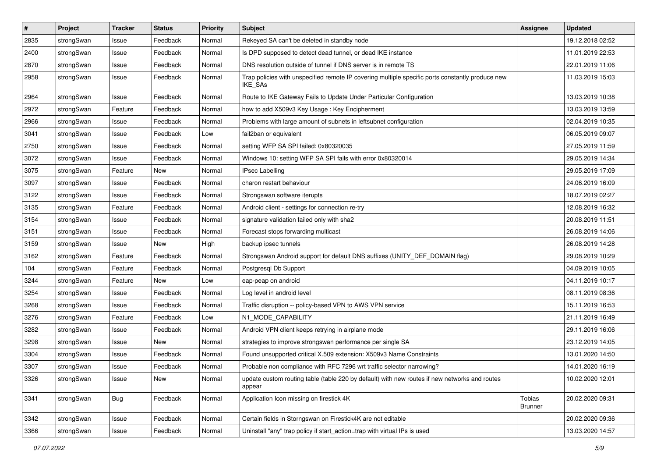| $\vert$ # | Project    | <b>Tracker</b> | <b>Status</b> | <b>Priority</b> | Subject                                                                                                            | <b>Assignee</b>          | <b>Updated</b>   |
|-----------|------------|----------------|---------------|-----------------|--------------------------------------------------------------------------------------------------------------------|--------------------------|------------------|
| 2835      | strongSwan | Issue          | Feedback      | Normal          | Rekeyed SA can't be deleted in standby node                                                                        |                          | 19.12.2018 02:52 |
| 2400      | strongSwan | Issue          | Feedback      | Normal          | Is DPD supposed to detect dead tunnel, or dead IKE instance                                                        |                          | 11.01.2019 22:53 |
| 2870      | strongSwan | Issue          | Feedback      | Normal          | DNS resolution outside of tunnel if DNS server is in remote TS                                                     |                          | 22.01.2019 11:06 |
| 2958      | strongSwan | Issue          | Feedback      | Normal          | Trap policies with unspecified remote IP covering multiple specific ports constantly produce new<br><b>IKE SAs</b> |                          | 11.03.2019 15:03 |
| 2964      | strongSwan | Issue          | Feedback      | Normal          | Route to IKE Gateway Fails to Update Under Particular Configuration                                                |                          | 13.03.2019 10:38 |
| 2972      | strongSwan | Feature        | Feedback      | Normal          | how to add X509v3 Key Usage: Key Encipherment                                                                      |                          | 13.03.2019 13:59 |
| 2966      | strongSwan | Issue          | Feedback      | Normal          | Problems with large amount of subnets in leftsubnet configuration                                                  |                          | 02.04.2019 10:35 |
| 3041      | strongSwan | Issue          | Feedback      | Low             | fail2ban or equivalent                                                                                             |                          | 06.05.2019 09:07 |
| 2750      | strongSwan | Issue          | Feedback      | Normal          | setting WFP SA SPI failed: 0x80320035                                                                              |                          | 27.05.2019 11:59 |
| 3072      | strongSwan | Issue          | Feedback      | Normal          | Windows 10: setting WFP SA SPI fails with error 0x80320014                                                         |                          | 29.05.2019 14:34 |
| 3075      | strongSwan | Feature        | New           | Normal          | <b>IPsec Labelling</b>                                                                                             |                          | 29.05.2019 17:09 |
| 3097      | strongSwan | Issue          | Feedback      | Normal          | charon restart behaviour                                                                                           |                          | 24.06.2019 16:09 |
| 3122      | strongSwan | Issue          | Feedback      | Normal          | Strongswan software iterupts                                                                                       |                          | 18.07.2019 02:27 |
| 3135      | strongSwan | Feature        | Feedback      | Normal          | Android client - settings for connection re-try                                                                    |                          | 12.08.2019 16:32 |
| 3154      | strongSwan | Issue          | Feedback      | Normal          | signature validation failed only with sha2                                                                         |                          | 20.08.2019 11:51 |
| 3151      | strongSwan | Issue          | Feedback      | Normal          | Forecast stops forwarding multicast                                                                                |                          | 26.08.2019 14:06 |
| 3159      | strongSwan | Issue          | New           | High            | backup ipsec tunnels                                                                                               |                          | 26.08.2019 14:28 |
| 3162      | strongSwan | Feature        | Feedback      | Normal          | Strongswan Android support for default DNS suffixes (UNITY_DEF_DOMAIN flag)                                        |                          | 29.08.2019 10:29 |
| 104       | strongSwan | Feature        | Feedback      | Normal          | Postgresql Db Support                                                                                              |                          | 04.09.2019 10:05 |
| 3244      | strongSwan | Feature        | New           | Low             | eap-peap on android                                                                                                |                          | 04.11.2019 10:17 |
| 3254      | strongSwan | Issue          | Feedback      | Normal          | Log level in android level                                                                                         |                          | 08.11.2019 08:36 |
| 3268      | strongSwan | Issue          | Feedback      | Normal          | Traffic disruption -- policy-based VPN to AWS VPN service                                                          |                          | 15.11.2019 16:53 |
| 3276      | strongSwan | Feature        | Feedback      | Low             | N1_MODE_CAPABILITY                                                                                                 |                          | 21.11.2019 16:49 |
| 3282      | strongSwan | Issue          | Feedback      | Normal          | Android VPN client keeps retrying in airplane mode                                                                 |                          | 29.11.2019 16:06 |
| 3298      | strongSwan | Issue          | <b>New</b>    | Normal          | strategies to improve strongswan performance per single SA                                                         |                          | 23.12.2019 14:05 |
| 3304      | strongSwan | Issue          | Feedback      | Normal          | Found unsupported critical X.509 extension: X509v3 Name Constraints                                                |                          | 13.01.2020 14:50 |
| 3307      | strongSwan | Issue          | Feedback      | Normal          | Probable non compliance with RFC 7296 wrt traffic selector narrowing?                                              |                          | 14.01.2020 16:19 |
| 3326      | strongSwan | Issue          | New           | Normal          | update custom routing table (table 220 by default) with new routes if new networks and routes<br>appear            |                          | 10.02.2020 12:01 |
| 3341      | strongSwan | Bug            | Feedback      | Normal          | Application Icon missing on firestick 4K                                                                           | Tobias<br><b>Brunner</b> | 20.02.2020 09:31 |
| 3342      | strongSwan | Issue          | Feedback      | Normal          | Certain fields in Storngswan on Firestick4K are not editable                                                       |                          | 20.02.2020 09:36 |
| 3366      | strongSwan | Issue          | Feedback      | Normal          | Uninstall "any" trap policy if start_action=trap with virtual IPs is used                                          |                          | 13.03.2020 14:57 |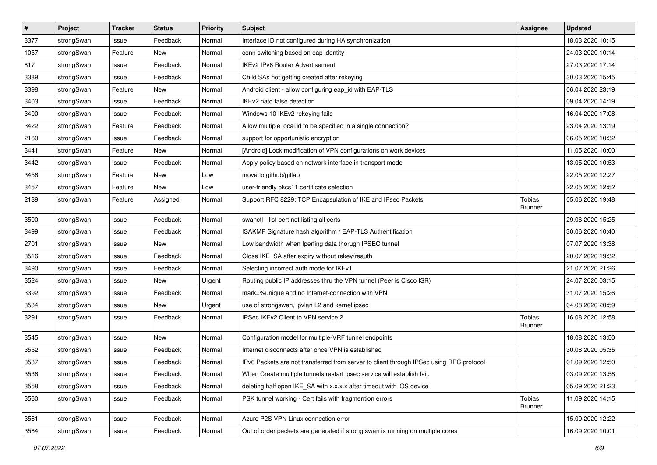| #    | Project    | <b>Tracker</b> | <b>Status</b> | <b>Priority</b> | <b>Subject</b>                                                                          | <b>Assignee</b>          | <b>Updated</b>   |
|------|------------|----------------|---------------|-----------------|-----------------------------------------------------------------------------------------|--------------------------|------------------|
| 3377 | strongSwan | Issue          | Feedback      | Normal          | Interface ID not configured during HA synchronization                                   |                          | 18.03.2020 10:15 |
| 1057 | strongSwan | Feature        | New           | Normal          | conn switching based on eap identity                                                    |                          | 24.03.2020 10:14 |
| 817  | strongSwan | Issue          | Feedback      | Normal          | <b>IKEv2 IPv6 Router Advertisement</b>                                                  |                          | 27.03.2020 17:14 |
| 3389 | strongSwan | Issue          | Feedback      | Normal          | Child SAs not getting created after rekeying                                            |                          | 30.03.2020 15:45 |
| 3398 | strongSwan | Feature        | <b>New</b>    | Normal          | Android client - allow configuring eap_id with EAP-TLS                                  |                          | 06.04.2020 23:19 |
| 3403 | strongSwan | Issue          | Feedback      | Normal          | IKEv2 natd false detection                                                              |                          | 09.04.2020 14:19 |
| 3400 | strongSwan | Issue          | Feedback      | Normal          | Windows 10 IKEv2 rekeying fails                                                         |                          | 16.04.2020 17:08 |
| 3422 | strongSwan | Feature        | Feedback      | Normal          | Allow multiple local id to be specified in a single connection?                         |                          | 23.04.2020 13:19 |
| 2160 | strongSwan | Issue          | Feedback      | Normal          | support for opportunistic encryption                                                    |                          | 06.05.2020 10:32 |
| 3441 | strongSwan | Feature        | New           | Normal          | [Android] Lock modification of VPN configurations on work devices                       |                          | 11.05.2020 10:00 |
| 3442 | strongSwan | Issue          | Feedback      | Normal          | Apply policy based on network interface in transport mode                               |                          | 13.05.2020 10:53 |
| 3456 | strongSwan | Feature        | New           | Low             | move to github/gitlab                                                                   |                          | 22.05.2020 12:27 |
| 3457 | strongSwan | Feature        | New           | Low             | user-friendly pkcs11 certificate selection                                              |                          | 22.05.2020 12:52 |
| 2189 | strongSwan | Feature        | Assigned      | Normal          | Support RFC 8229: TCP Encapsulation of IKE and IPsec Packets                            | Tobias<br><b>Brunner</b> | 05.06.2020 19:48 |
| 3500 | strongSwan | Issue          | Feedback      | Normal          | swanctl --list-cert not listing all certs                                               |                          | 29.06.2020 15:25 |
| 3499 | strongSwan | Issue          | Feedback      | Normal          | ISAKMP Signature hash algorithm / EAP-TLS Authentification                              |                          | 30.06.2020 10:40 |
| 2701 | strongSwan | Issue          | <b>New</b>    | Normal          | Low bandwidth when Iperfing data thorugh IPSEC tunnel                                   |                          | 07.07.2020 13:38 |
| 3516 | strongSwan | Issue          | Feedback      | Normal          | Close IKE_SA after expiry without rekey/reauth                                          |                          | 20.07.2020 19:32 |
| 3490 | strongSwan | Issue          | Feedback      | Normal          | Selecting incorrect auth mode for IKEv1                                                 |                          | 21.07.2020 21:26 |
| 3524 | strongSwan | Issue          | New           | Urgent          | Routing public IP addresses thru the VPN tunnel (Peer is Cisco ISR)                     |                          | 24.07.2020 03:15 |
| 3392 | strongSwan | Issue          | Feedback      | Normal          | mark=%unique and no Internet-connection with VPN                                        |                          | 31.07.2020 15:26 |
| 3534 | strongSwan | Issue          | <b>New</b>    | Urgent          | use of strongswan, ipvlan L2 and kernel ipsec                                           |                          | 04.08.2020 20:59 |
| 3291 | strongSwan | Issue          | Feedback      | Normal          | IPSec IKEv2 Client to VPN service 2                                                     | Tobias<br><b>Brunner</b> | 16.08.2020 12:58 |
| 3545 | strongSwan | Issue          | New           | Normal          | Configuration model for multiple-VRF tunnel endpoints                                   |                          | 18.08.2020 13:50 |
| 3552 | strongSwan | Issue          | Feedback      | Normal          | Internet disconnects after once VPN is established                                      |                          | 30.08.2020 05:35 |
| 3537 | strongSwan | Issue          | Feedback      | Normal          | IPv6 Packets are not transferred from server to client through IPSec using RPC protocol |                          | 01.09.2020 12:50 |
| 3536 | strongSwan | Issue          | Feedback      | Normal          | When Create multiple tunnels restart ipsec service will establish fail.                 |                          | 03.09.2020 13:58 |
| 3558 | strongSwan | Issue          | Feedback      | Normal          | deleting half open IKE_SA with x.x.x.x after timeout with iOS device                    |                          | 05.09.2020 21:23 |
| 3560 | strongSwan | Issue          | Feedback      | Normal          | PSK tunnel working - Cert fails with fragmention errors                                 | Tobias<br><b>Brunner</b> | 11.09.2020 14:15 |
| 3561 | strongSwan | Issue          | Feedback      | Normal          | Azure P2S VPN Linux connection error                                                    |                          | 15.09.2020 12:22 |
| 3564 | strongSwan | Issue          | Feedback      | Normal          | Out of order packets are generated if strong swan is running on multiple cores          |                          | 16.09.2020 10:01 |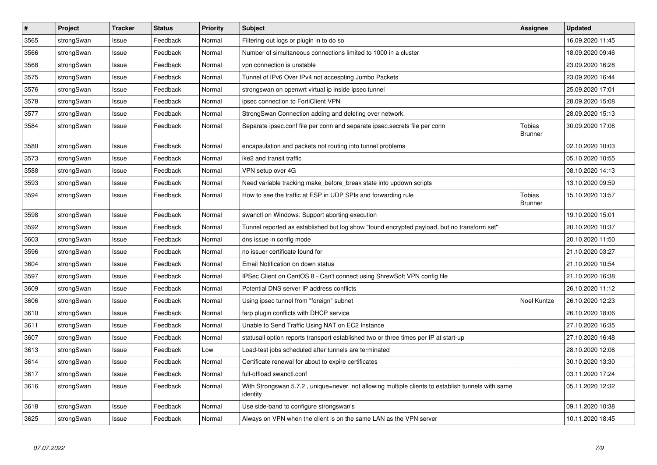| $\vert$ # | Project    | <b>Tracker</b> | <b>Status</b> | <b>Priority</b> | <b>Subject</b>                                                                                               | Assignee                 | <b>Updated</b>   |
|-----------|------------|----------------|---------------|-----------------|--------------------------------------------------------------------------------------------------------------|--------------------------|------------------|
| 3565      | strongSwan | Issue          | Feedback      | Normal          | Filtering out logs or plugin in to do so                                                                     |                          | 16.09.2020 11:45 |
| 3566      | strongSwan | Issue          | Feedback      | Normal          | Number of simultaneous connections limited to 1000 in a cluster                                              |                          | 18.09.2020 09:46 |
| 3568      | strongSwan | Issue          | Feedback      | Normal          | vpn connection is unstable                                                                                   |                          | 23.09.2020 16:28 |
| 3575      | strongSwan | Issue          | Feedback      | Normal          | Tunnel of IPv6 Over IPv4 not accespting Jumbo Packets                                                        |                          | 23.09.2020 16:44 |
| 3576      | strongSwan | Issue          | Feedback      | Normal          | strongswan on openwrt virtual ip inside ipsec tunnel                                                         |                          | 25.09.2020 17:01 |
| 3578      | strongSwan | Issue          | Feedback      | Normal          | ipsec connection to FortiClient VPN                                                                          |                          | 28.09.2020 15:08 |
| 3577      | strongSwan | Issue          | Feedback      | Normal          | StrongSwan Connection adding and deleting over network.                                                      |                          | 28.09.2020 15:13 |
| 3584      | strongSwan | Issue          | Feedback      | Normal          | Separate ipsec.conf file per conn and separate ipsec.secrets file per conn                                   | Tobias<br><b>Brunner</b> | 30.09.2020 17:06 |
| 3580      | strongSwan | Issue          | Feedback      | Normal          | encapsulation and packets not routing into tunnel problems                                                   |                          | 02.10.2020 10:03 |
| 3573      | strongSwan | Issue          | Feedback      | Normal          | ike2 and transit traffic                                                                                     |                          | 05.10.2020 10:55 |
| 3588      | strongSwan | Issue          | Feedback      | Normal          | VPN setup over 4G                                                                                            |                          | 08.10.2020 14:13 |
| 3593      | strongSwan | Issue          | Feedback      | Normal          | Need variable tracking make before break state into updown scripts                                           |                          | 13.10.2020 09:59 |
| 3594      | strongSwan | Issue          | Feedback      | Normal          | How to see the traffic at ESP in UDP SPIs and forwarding rule                                                | Tobias<br><b>Brunner</b> | 15.10.2020 13:57 |
| 3598      | strongSwan | Issue          | Feedback      | Normal          | swanctl on Windows: Support aborting execution                                                               |                          | 19.10.2020 15:01 |
| 3592      | strongSwan | Issue          | Feedback      | Normal          | Tunnel reported as established but log show "found encrypted payload, but no transform set"                  |                          | 20.10.2020 10:37 |
| 3603      | strongSwan | Issue          | Feedback      | Normal          | dns issue in config mode                                                                                     |                          | 20.10.2020 11:50 |
| 3596      | strongSwan | Issue          | Feedback      | Normal          | no issuer certificate found for                                                                              |                          | 21.10.2020 03:27 |
| 3604      | strongSwan | Issue          | Feedback      | Normal          | Email Notification on down status                                                                            |                          | 21.10.2020 10:54 |
| 3597      | strongSwan | Issue          | Feedback      | Normal          | IPSec Client on CentOS 8 - Can't connect using ShrewSoft VPN config file                                     |                          | 21.10.2020 16:38 |
| 3609      | strongSwan | Issue          | Feedback      | Normal          | Potential DNS server IP address conflicts                                                                    |                          | 26.10.2020 11:12 |
| 3606      | strongSwan | Issue          | Feedback      | Normal          | Using ipsec tunnel from "foreign" subnet                                                                     | Noel Kuntze              | 26.10.2020 12:23 |
| 3610      | strongSwan | Issue          | Feedback      | Normal          | farp plugin conflicts with DHCP service                                                                      |                          | 26.10.2020 18:06 |
| 3611      | strongSwan | Issue          | Feedback      | Normal          | Unable to Send Traffic Using NAT on EC2 Instance                                                             |                          | 27.10.2020 16:35 |
| 3607      | strongSwan | Issue          | Feedback      | Normal          | statusall option reports transport established two or three times per IP at start-up                         |                          | 27.10.2020 16:48 |
| 3613      | strongSwan | Issue          | Feedback      | Low             | Load-test jobs scheduled after tunnels are terminated                                                        |                          | 28.10.2020 12:06 |
| 3614      | strongSwan | Issue          | Feedback      | Normal          | Certificate renewal for about to expire certificates                                                         |                          | 30.10.2020 13:30 |
| 3617      | strongSwan | Issue          | Feedback      | Normal          | full-offload swanctl.conf                                                                                    |                          | 03.11.2020 17:24 |
| 3616      | strongSwan | Issue          | Feedback      | Normal          | With Strongswan 5.7.2, unique=never not allowing multiple clients to establish tunnels with same<br>identity |                          | 05.11.2020 12:32 |
| 3618      | strongSwan | Issue          | Feedback      | Normal          | Use side-band to configure strongswan's                                                                      |                          | 09.11.2020 10:38 |
| 3625      | strongSwan | Issue          | Feedback      | Normal          | Always on VPN when the client is on the same LAN as the VPN server                                           |                          | 10.11.2020 18:45 |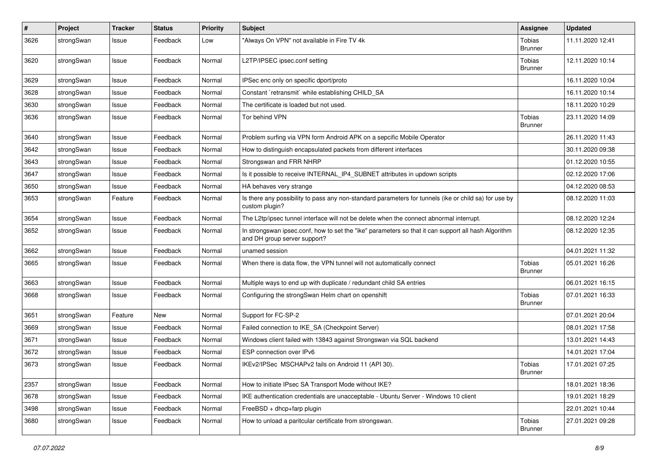| $\pmb{\#}$ | Project    | <b>Tracker</b> | <b>Status</b> | <b>Priority</b> | Subject                                                                                                                             | <b>Assignee</b>                 | <b>Updated</b>   |
|------------|------------|----------------|---------------|-----------------|-------------------------------------------------------------------------------------------------------------------------------------|---------------------------------|------------------|
| 3626       | strongSwan | Issue          | Feedback      | Low             | "Always On VPN" not available in Fire TV 4k                                                                                         | Tobias<br><b>Brunner</b>        | 11.11.2020 12:41 |
| 3620       | strongSwan | Issue          | Feedback      | Normal          | L2TP/IPSEC ipsec.conf setting                                                                                                       | Tobias<br><b>Brunner</b>        | 12.11.2020 10:14 |
| 3629       | strongSwan | Issue          | Feedback      | Normal          | IPSec enc only on specific dport/proto                                                                                              |                                 | 16.11.2020 10:04 |
| 3628       | strongSwan | Issue          | Feedback      | Normal          | Constant `retransmit` while establishing CHILD_SA                                                                                   |                                 | 16.11.2020 10:14 |
| 3630       | strongSwan | Issue          | Feedback      | Normal          | The certificate is loaded but not used.                                                                                             |                                 | 18.11.2020 10:29 |
| 3636       | strongSwan | Issue          | Feedback      | Normal          | Tor behind VPN                                                                                                                      | <b>Tobias</b><br><b>Brunner</b> | 23.11.2020 14:09 |
| 3640       | strongSwan | Issue          | Feedback      | Normal          | Problem surfing via VPN form Android APK on a sepcific Mobile Operator                                                              |                                 | 26.11.2020 11:43 |
| 3642       | strongSwan | Issue          | Feedback      | Normal          | How to distinguish encapsulated packets from different interfaces                                                                   |                                 | 30.11.2020 09:38 |
| 3643       | strongSwan | Issue          | Feedback      | Normal          | Strongswan and FRR NHRP                                                                                                             |                                 | 01.12.2020 10:55 |
| 3647       | strongSwan | Issue          | Feedback      | Normal          | Is it possible to receive INTERNAL_IP4_SUBNET attributes in updown scripts                                                          |                                 | 02.12.2020 17:06 |
| 3650       | strongSwan | Issue          | Feedback      | Normal          | HA behaves very strange                                                                                                             |                                 | 04.12.2020 08:53 |
| 3653       | strongSwan | Feature        | Feedback      | Normal          | Is there any possibility to pass any non-standard parameters for tunnels (ike or child sa) for use by<br>custom plugin?             |                                 | 08.12.2020 11:03 |
| 3654       | strongSwan | Issue          | Feedback      | Normal          | The L2tp/ipsec tunnel interface will not be delete when the connect abnormal interrupt.                                             |                                 | 08.12.2020 12:24 |
| 3652       | strongSwan | Issue          | Feedback      | Normal          | In strongswan ipsec.conf, how to set the "ike" parameters so that it can support all hash Algorithm<br>and DH group server support? |                                 | 08.12.2020 12:35 |
| 3662       | strongSwan | Issue          | Feedback      | Normal          | unamed session                                                                                                                      |                                 | 04.01.2021 11:32 |
| 3665       | strongSwan | Issue          | Feedback      | Normal          | When there is data flow, the VPN tunnel will not automatically connect                                                              | Tobias<br><b>Brunner</b>        | 05.01.2021 16:26 |
| 3663       | strongSwan | Issue          | Feedback      | Normal          | Multiple ways to end up with duplicate / redundant child SA entries                                                                 |                                 | 06.01.2021 16:15 |
| 3668       | strongSwan | Issue          | Feedback      | Normal          | Configuring the strongSwan Helm chart on openshift                                                                                  | <b>Tobias</b><br><b>Brunner</b> | 07.01.2021 16:33 |
| 3651       | strongSwan | Feature        | <b>New</b>    | Normal          | Support for FC-SP-2                                                                                                                 |                                 | 07.01.2021 20:04 |
| 3669       | strongSwan | Issue          | Feedback      | Normal          | Failed connection to IKE_SA (Checkpoint Server)                                                                                     |                                 | 08.01.2021 17:58 |
| 3671       | strongSwan | Issue          | Feedback      | Normal          | Windows client failed with 13843 against Strongswan via SQL backend                                                                 |                                 | 13.01.2021 14:43 |
| 3672       | strongSwan | Issue          | Feedback      | Normal          | ESP connection over IPv6                                                                                                            |                                 | 14.01.2021 17:04 |
| 3673       | strongSwan | Issue          | Feedback      | Normal          | IKEv2/IPSec MSCHAPv2 fails on Android 11 (API 30).                                                                                  | Tobias<br>Brunner               | 17.01.2021 07:25 |
| 2357       | strongSwan | Issue          | Feedback      | Normal          | How to initiate IPsec SA Transport Mode without IKE?                                                                                |                                 | 18.01.2021 18:36 |
| 3678       | strongSwan | Issue          | Feedback      | Normal          | IKE authentication credentials are unacceptable - Ubuntu Server - Windows 10 client                                                 |                                 | 19.01.2021 18:29 |
| 3498       | strongSwan | Issue          | Feedback      | Normal          | FreeBSD + dhcp+farp plugin                                                                                                          |                                 | 22.01.2021 10:44 |
| 3680       | strongSwan | Issue          | Feedback      | Normal          | How to unload a paritcular certificate from strongswan.                                                                             | <b>Tobias</b><br>Brunner        | 27.01.2021 09:28 |